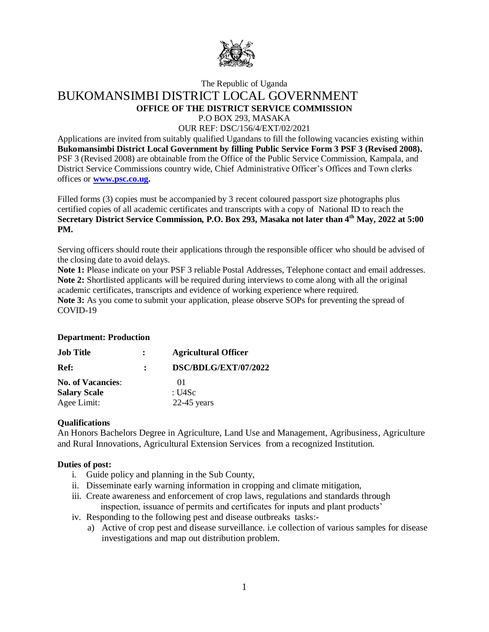

# The Republic of Uganda BUKOMANSIMBI DISTRICT LOCAL GOVERNMENT **OFFICE OF THE DISTRICT SERVICE COMMISSION**

P.O BOX 293, MASAKA

OUR REF: DSC/156/4/EXT/02/2021

Applications are invited from suitably qualified Ugandans to fill the following vacancies existing within **Bukomansimbi District Local Government by filling Public Service Form 3 PSF 3 (Revised 2008).** PSF 3 (Revised 2008) are obtainable from the Office of the Public Service Commission, Kampala, and District Service Commissions country wide, Chief Administrative Officer's Offices and Town clerks offices or **[www.psc.co.ug.](http://www.psc.co.ug/)**

Filled forms (3) copies must be accompanied by 3 recent coloured passport size photographs plus certified copies of all academic certificates and transcripts with a copy of National ID to reach the **Secretary District Service Commission, P.O. Box 293, Masaka not later than 4th May, 2022 at 5:00 PM.**

Serving officers should route their applications through the responsible officer who should be advised of the closing date to avoid delays.

**Note 1:** Please indicate on your PSF 3 reliable Postal Addresses, Telephone contact and email addresses. **Note 2:** Shortlisted applicants will be required during interviews to come along with all the original academic certificates, transcripts and evidence of working experience where required. **Note 3:** As you come to submit your application, please observe SOPs for preventing the spread of COVID-19

# **Department: Production**

| <b>Job Title</b>         | <b>Agricultural Officer</b> |
|--------------------------|-----------------------------|
| Ref:                     | DSC/BDLG/EXT/07/2022        |
| <b>No. of Vacancies:</b> | (1)                         |
| <b>Salary Scale</b>      | : U4Sc                      |
| Agee Limit:              | $22-45$ years               |

# **Qualifications**

An Honors Bachelors Degree in Agriculture, Land Use and Management, Agribusiness, Agriculture and Rural Innovations, Agricultural Extension Services from a recognized Institution.

#### **Duties of post:**

- i. Guide policy and planning in the Sub County,
- ii. Disseminate early warning information in cropping and climate mitigation,
- iii. Create awareness and enforcement of crop laws, regulations and standards through inspection, issuance of permits and certificates for inputs and plant products'
- iv. Responding to the following pest and disease outbreaks tasks:
	- a) Active of crop pest and disease surveillance. i.e collection of various samples for disease investigations and map out distribution problem.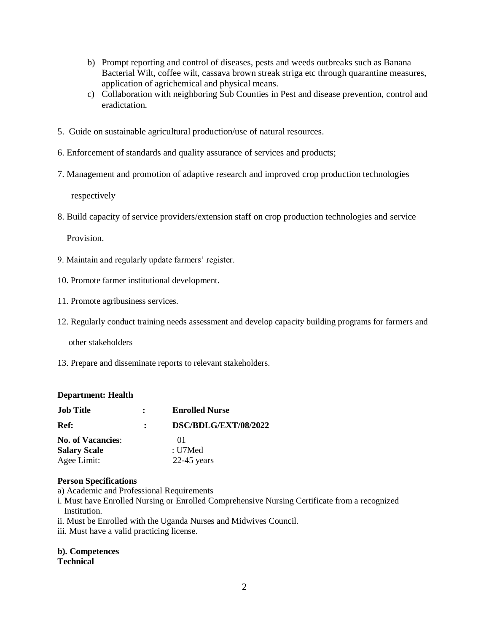- b) Prompt reporting and control of diseases, pests and weeds outbreaks such as Banana Bacterial Wilt, coffee wilt, cassava brown streak striga etc through quarantine measures, application of agrichemical and physical means.
- c) Collaboration with neighboring Sub Counties in Pest and disease prevention, control and eradictation.
- 5. Guide on sustainable agricultural production/use of natural resources.
- 6. Enforcement of standards and quality assurance of services and products;
- 7. Management and promotion of adaptive research and improved crop production technologies

respectively

8. Build capacity of service providers/extension staff on crop production technologies and service

Provision.

- 9. Maintain and regularly update farmers' register.
- 10. Promote farmer institutional development.
- 11. Promote agribusiness services.
- 12. Regularly conduct training needs assessment and develop capacity building programs for farmers and

other stakeholders

13. Prepare and disseminate reports to relevant stakeholders.

#### **Department: Health**

| <b>Job Title</b>         | $\mathbf{r}$ | <b>Enrolled Nurse</b> |  |
|--------------------------|--------------|-----------------------|--|
| Ref:                     |              | DSC/BDLG/EXT/08/2022  |  |
| <b>No. of Vacancies:</b> |              | $^{01}$               |  |
| <b>Salary Scale</b>      | : U7Med      |                       |  |
| Agee Limit:              |              | $22-45$ years         |  |

# **Person Specifications**

a) Academic and Professional Requirements

- i. Must have Enrolled Nursing or Enrolled Comprehensive Nursing Certificate from a recognized Institution.
- ii. Must be Enrolled with the Uganda Nurses and Midwives Council.
- iii. Must have a valid practicing license.

**b). Competences Technical**